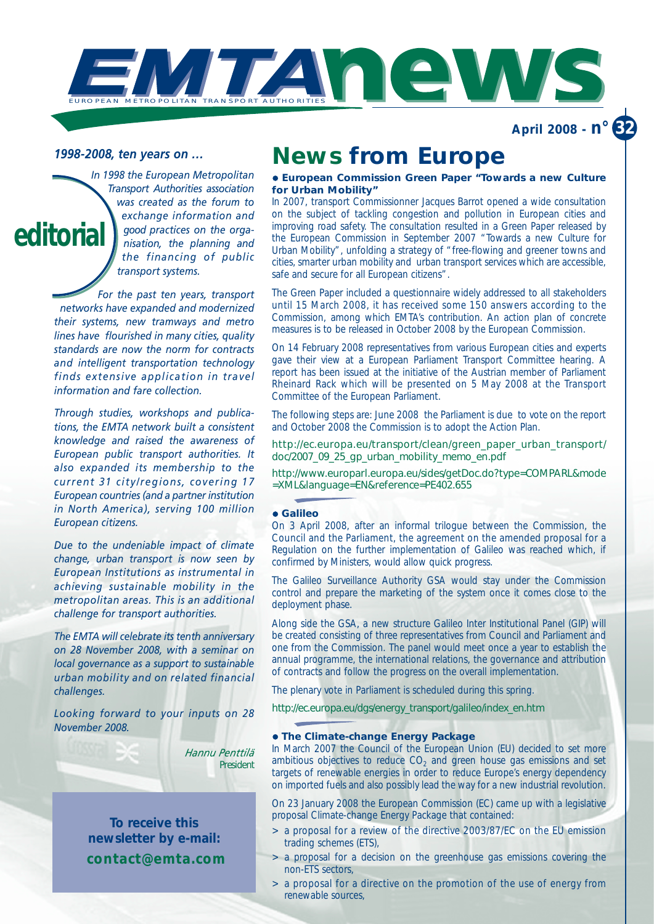

**April 2008 - n° 32**

## *1998-2008, ten years on …*

*In 1998 the European Metropolitan Transport Authorities association was created as the forum to exchange information and good practices on the organisation, the planning and the financing of public transport systems.* **editorial**

> *For the past ten years, transport networks have expanded and modernized their systems, new tramways and metro lines have flourished in many cities, quality standards are now the norm for contracts and intelligent transportation technology finds extensive application in travel information and fare collection.*

> *Through studies, workshops and publications, the EMTA network built a consistent knowledge and raised the awareness of European public transport authorities. It also expanded its membership to the current 31 city/regions, covering 17 European countries (and a partner institution in North America), serving 100 million European citizens.*

> *Due to the undeniable impact of climate change, urban transport is now seen by European Institutions as instrumental in achieving sustainable mobility in the metropolitan areas. This is an additional challenge for transport authorities.*

> *The EMTA will celebrate its tenth anniversary on 28 November 2008, with a seminar on local governance as a support to sustainable urban mobility and on related financial challenges.*

> *Looking forward to your inputs on 28 November 2008.*

> > *Hannu Penttilä President*

**To receive this newsletter by e-mail: contact@emta.com**

# **News from Europe**

## **• European Commission Green Paper "Towards a new Culture for Urban Mobility"**

In 2007, transport Commissionner Jacques Barrot opened a wide consultation on the subject of tackling congestion and pollution in European cities and improving road safety. The consultation resulted in a Green Paper released by the European Commission in September 2007 "Towards a new Culture for Urban Mobility", unfolding a strategy of "free-flowing and greener towns and cities, smarter urban mobility and urban transport services which are accessible, safe and secure for all European citizens".

The Green Paper included a questionnaire widely addressed to all stakeholders until 15 March 2008, it has received some 150 answers according to the Commission, among which EMTA's contribution. An action plan of concrete measures is to be released in October 2008 by the European Commission.

On 14 February 2008 representatives from various European cities and experts gave their view at a European Parliament Transport Committee hearing. A report has been issued at the initiative of the Austrian member of Parliament Rheinard Rack which will be presented on 5 May 2008 at the Transport Committee of the European Parliament.

The following steps are: June 2008 the Parliament is due to vote on the report and October 2008 the Commission is to adopt the Action Plan.

http://ec.europa.eu/transport/clean/green\_paper\_urban\_transport/ doc/2007\_09\_25\_gp\_urban\_mobility\_memo\_en.pdf

http://www.europarl.europa.eu/sides/getDoc.do?type=COMPARL&mode =XML&language=EN&reference=PE402.655

## z **Galileo**

On 3 April 2008, after an informal trilogue between the Commission, the Council and the Parliament, the agreement on the amended proposal for a Regulation on the further implementation of Galileo was reached which, if confirmed by Ministers, would allow quick progress.

The Galileo Surveillance Authority GSA would stay under the Commission control and prepare the marketing of the system once it comes close to the deployment phase.

Along side the GSA, a new structure Galileo Inter Institutional Panel (GIP) will be created consisting of three representatives from Council and Parliament and one from the Commission. The panel would meet once a year to establish the annual programme, the international relations, the governance and attribution of contracts and follow the progress on the overall implementation.

The plenary vote in Parliament is scheduled during this spring.

http://ec.europa.eu/dgs/energy\_transport/galileo/index\_en.htm

## **• The Climate-change Energy Package**

In March 2007 the Council of the European Union (EU) decided to set more ambitious objectives to reduce  $CO<sub>2</sub>$  and green house gas emissions and set targets of renewable energies in order to reduce Europe's energy dependency on imported fuels and also possibly lead the way for a new industrial revolution.

On 23 January 2008 the European Commission (EC) came up with a legislative proposal Climate-change Energy Package that contained:

- > a proposal for a review of the directive 2003/87/EC on the EU emission trading schemes (ETS),
- > a proposal for a decision on the greenhouse gas emissions covering the non-ETS sectors,
- > a proposal for a directive on the promotion of the use of energy from renewable sources,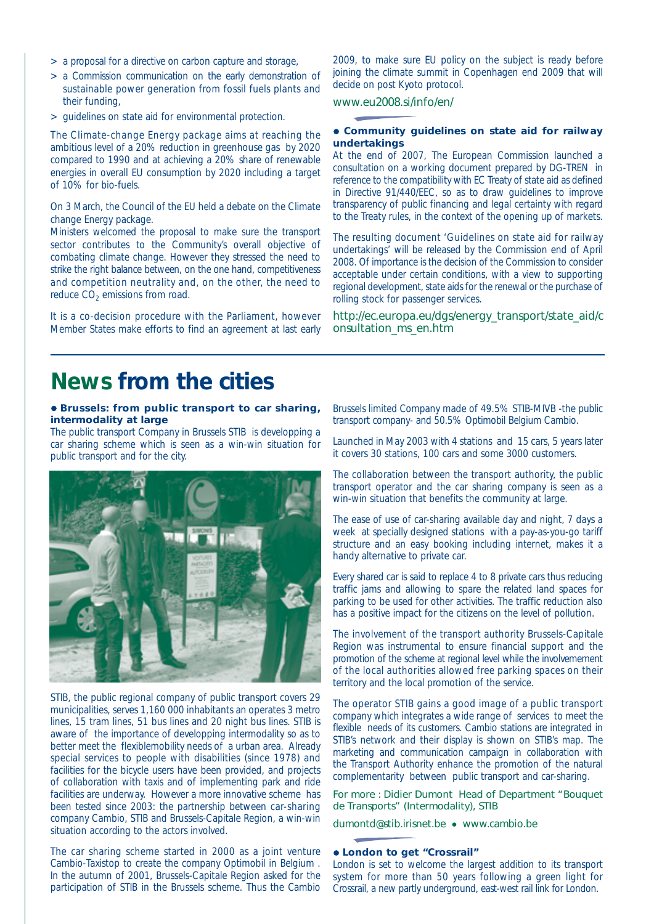- > a proposal for a directive on carbon capture and storage,
- > a Commission communication on the early demonstration of sustainable power generation from fossil fuels plants and their funding,
- > guidelines on state aid for environmental protection.

The Climate-change Energy package aims at reaching the ambitious level of a 20% reduction in greenhouse gas by 2020 compared to 1990 and at achieving a 20% share of renewable energies in overall EU consumption by 2020 including a target of 10% for bio-fuels.

On 3 March, the Council of the EU held a debate on the Climate change Energy package.

Ministers welcomed the proposal to make sure the transport sector contributes to the Community's overall objective of combating climate change. However they stressed the need to strike the right balance between, on the one hand, competitiveness and competition neutrality and, on the other, the need to reduce  $CO<sub>2</sub>$  emissions from road.

It is a co-decision procedure with the Parliament, however Member States make efforts to find an agreement at last early

2009, to make sure EU policy on the subject is ready before joining the climate summit in Copenhagen end 2009 that will decide on post Kyoto protocol.

## www.eu2008.si/info/en/

### **• Community guidelines on state aid for railway undertakings**

At the end of 2007, The European Commission launched a consultation on a working document prepared by DG-TREN in reference to the compatibility with EC Treaty of state aid as defined in Directive 91/440/EEC, so as to draw guidelines to improve transparency of public financing and legal certainty with regard to the Treaty rules, in the context of the opening up of markets.

The resulting document 'Guidelines on state aid for railway undertakings' will be released by the Commission end of April 2008. Of importance is the decision of the Commission to consider acceptable under certain conditions, with a view to supporting regional development, state aids for the renewal or the purchase of rolling stock for passenger services.

http://ec.europa.eu/dgs/energy\_transport/state\_aid/c onsultation\_ms\_en.htm

## **News from the cities**

## $\bullet$  **Brussels: from public transport to car sharing, intermodality at large**

The public transport Company in Brussels STIB is developping a car sharing scheme which is seen as a win-win situation for public transport and for the city.



STIB, the public regional company of public transport covers 29 municipalities, serves 1,160 000 inhabitants an operates 3 metro lines, 15 tram lines, 51 bus lines and 20 night bus lines. STIB is aware of the importance of developping intermodality so as to better meet the flexiblemobility needs of a urban area. Already special services to people with disabilities (since 1978) and facilities for the bicycle users have been provided, and projects of collaboration with taxis and of implementing park and ride facilities are underway. However a more innovative scheme has been tested since 2003: the partnership between car-sharing company Cambio, STIB and Brussels-Capitale Region, a win-win situation according to the actors involved.

The car sharing scheme started in 2000 as a joint venture *Cambio-Taxistop* to create the company *Optimobil* in Belgium . In the autumn of 2001, Brussels-Capitale Region asked for the participation of STIB in the Brussels scheme. Thus the *Cambio* *Brussels limited Company* made of 49.5% STIB-MIVB -the public transport company- and 50.5% Optimobil Belgium Cambio.

Launched in May 2003 with 4 stations and 15 cars, 5 years later it covers 30 stations, 100 cars and some 3000 customers.

The collaboration between the transport authority, the public transport operator and the car sharing company is seen as a win-win situation that benefits the community at large.

The ease of use of car-sharing available day and night, 7 days a week at specially designed stations with a pay-as-you-go tariff structure and an easy booking including internet, makes it a handy alternative to private car.

Every shared car is said to replace 4 to 8 private cars thus reducing traffic jams and allowing to spare the related land spaces for parking to be used for other activities. The traffic reduction also has a positive impact for the citizens on the level of pollution.

The involvement of the transport authority Brussels-Capitale Region was instrumental to ensure financial support and the promotion of the scheme at regional level while the involvemement of the local authorities allowed free parking spaces on their territory and the local promotion of the service.

The operator STIB gains a good image of a public transport company which integrates a wide range of services to meet the flexible needs of its customers. Cambio stations are integrated in STIB's network and their display is shown on STIB's map. The marketing and communication campaign in collaboration with the Transport Authority enhance the promotion of the natural complementarity between public transport and car-sharing.

For more : Didier Dumont Head of Department "Bouquet de Transports" (Intermodality), STIB

dumontd@stib.irisnet.be • www.cambio.be

## z **London to get "Crossrail"**

London is set to welcome the largest addition to its transport system for more than 50 years following a green light for Crossrail, a new partly underground, east-west rail link for London.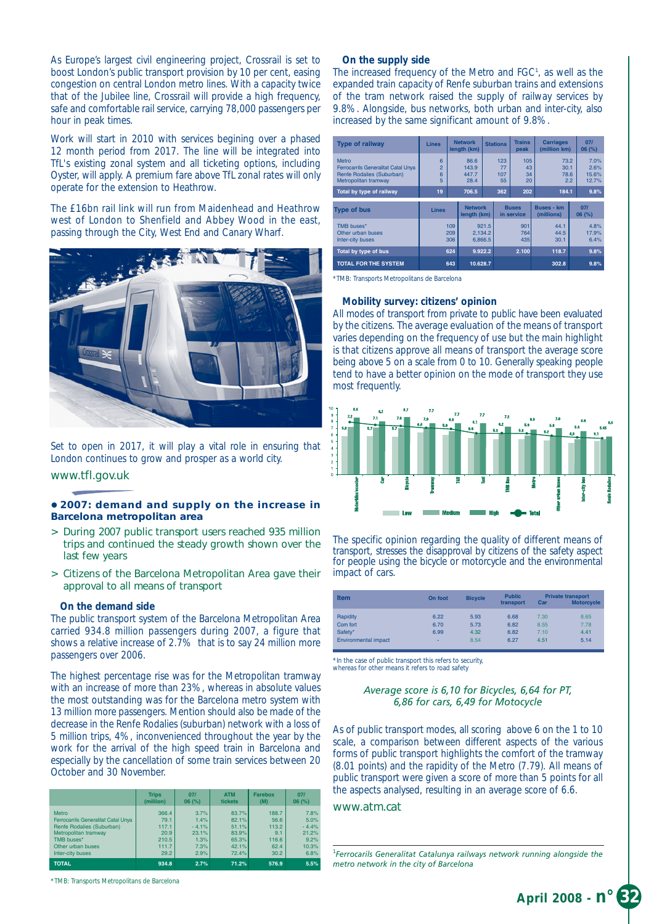As Europe's largest civil engineering project, Crossrail is set to boost London's public transport provision by 10 per cent, easing congestion on central London metro lines. With a capacity twice that of the Jubilee line, Crossrail will provide a high frequency, safe and comfortable rail service, carrying 78,000 passengers per hour in peak times.

Work will start in 2010 with services begining over a phased 12 month period from 2017. The line will be integrated into TfL's existing zonal system and all ticketing options, including Oyster, will apply. A premium fare above TfL zonal rates will only operate for the extension to Heathrow.

The £16bn rail link will run from Maidenhead and Heathrow west of London to Shenfield and Abbey Wood in the east, passing through the City, West End and Canary Wharf.



Set to open in 2017, it will play a vital role in ensuring that London continues to grow and prosper as a world city.

## www.tfl.gov.uk

## z **2007: demand and supply on the increase in Barcelona metropolitan area**

- > During 2007 public transport users reached 935 million trips and continued the steady growth shown over the last few years
- > Citizens of the Barcelona Metropolitan Area gave their approval to all means of transport

#### **On the demand side**

The public transport system of the Barcelona Metropolitan Area carried 934.8 million passengers during 2007, a figure that shows a relative increase of 2.7% that is to say 24 million more passengers over 2006.

The highest percentage rise was for the Metropolitan tramway with an increase of more than 23%, whereas in absolute values the most outstanding was for the Barcelona metro system with 13 million more passengers. Mention should also be made of the decrease in the Renfe Rodalies (suburban) network with a loss of 5 million trips, 4%, inconvenienced throughout the year by the work for the arrival of the high speed train in Barcelona and especially by the cancellation of some train services between 20 October and 30 November.

|                                            | <b>Trips</b> | 071     | <b>ATM</b> | <b>Farebox</b> | 071     |  |
|--------------------------------------------|--------------|---------|------------|----------------|---------|--|
|                                            | (million)    | 06(%)   | tickets    | (M)            | 06(%)   |  |
| Metro                                      | 366.4        | 3.7%    | 83.7%      | 188.7          | 7.8%    |  |
| <b>Ferrocarrils Generalitat Catal Unya</b> | 79.1         | 1.4%    | 82.1%      | 56.6           | 5.0%    |  |
| Renfe Rodalies (Suburban)                  | 117.1        | $-4.1%$ | 51.1%      | 113.2          | $-4.4%$ |  |
| Metropolitan tramway                       | 20.9         | 23.1%   | 83.9%      | 9.1            | 21.2%   |  |
| TMB buses*                                 | 210.5        | 1.3%    | 65.3%      | 116.6          | 9.2%    |  |
| Other urban buses                          | 111.7        | 7.3%    | 42.1%      | 62.4           | 10.3%   |  |
| Inter-city buses                           | 29.2         | 2.9%    | 72.4%      | 30.2           | 6.8%    |  |
| <b>TOTAL</b>                               | 934.8        | 2.7%    | 71.2%      | 576.9          | 5.5%    |  |

*\*TMB: Transports Metropolitans de Barcelona*

#### **On the supply side**

The increased frequency of the Metro and FGC<sup>1</sup>, as well as the expanded train capacity of Renfe suburban trains and extensions of the tram network raised the supply of railway services by 9.8%. Alongside, bus networks, both urban and inter-city, also increased by the same significant amount of 9.8%.

| <b>Type of railway</b>                                                                                                               | <b>Lines</b>                        |                               | <b>Network</b><br>length (km)           |                             | <b>Stations</b>               | <b>Trains</b><br>peak        | <b>Carriages</b>                     | (million km) |                                        |
|--------------------------------------------------------------------------------------------------------------------------------------|-------------------------------------|-------------------------------|-----------------------------------------|-----------------------------|-------------------------------|------------------------------|--------------------------------------|--------------|----------------------------------------|
| Metro<br><b>Ferrocarrils Generalitat Catal Unya</b><br>Renfe Rodalies (Suburban)<br>Metropolitan tramway<br>Total by type of railway | 6<br>$\overline{2}$<br>6<br>5<br>19 |                               | 86.6<br>143.9<br>447.7<br>28.4<br>706.5 |                             | 123<br>77<br>107<br>55<br>362 | 105<br>43<br>34<br>20<br>202 | 73.2<br>30.1<br>78.6<br>2.2<br>184.1 |              | 7.0%<br>2.6%<br>15.6%<br>12.7%<br>9.8% |
|                                                                                                                                      |                                     |                               |                                         |                             |                               |                              |                                      |              |                                        |
| <b>Type of bus</b>                                                                                                                   | <b>Lines</b>                        | <b>Network</b><br>length (km) |                                         |                             | <b>Buses</b><br>in service    |                              | <b>Buses - km</b><br>(millions)      |              | 071<br>06(%)                           |
| TMB buses*<br>Other urban buses<br>Inter-city buses                                                                                  |                                     | 109<br>209<br>306             |                                         | 921.5<br>2.134.2<br>6.866.5 | 901<br>764<br>435             |                              | 44.1<br>44.5<br>30.1                 |              | 4.8%<br>17.9%<br>6.4%                  |
| Total by type of bus                                                                                                                 |                                     | 624                           | 9.922.2                                 |                             |                               | 2.100                        | 118.7                                |              | 9.8%                                   |
| <b>TOTAL FOR THE SYSTEM</b>                                                                                                          |                                     | 643                           | 10.628.7                                |                             |                               |                              | 302.8                                |              | 9.8%                                   |

*\*TMB: Transports Metropolitans de Barcelona*

#### **Mobility survey: citizens' opinion**

All modes of transport from private to public have been evaluated by the citizens. The average evaluation of the means of transport varies depending on the frequency of use but the main highlight is that citizens approve *all means of transport* the average score being above 5 on a scale from 0 to 10. Generally speaking people tend to have a better opinion on the mode of transport they use most frequently.



The specific opinion regarding the *quality* of different means of transport, stresses the disapproval by citizens of the safety aspect for people using the bicycle or motorcycle and the environmental impact of cars.

| <b>Item</b>                 | On foot | <b>Bicycle</b> | <b>Public</b><br>transport | Car  | <b>Private transport</b><br><b>Motorcycle</b> |
|-----------------------------|---------|----------------|----------------------------|------|-----------------------------------------------|
| Rapidity                    | 6.22    | 5.93           | 6.68                       | 7.30 | 8.65                                          |
| Com fort                    | 6.70    | 5.73           | 6.82                       | 8.55 | 7.78                                          |
| Safety*                     | 6.99    | 4.32           | 6.82                       | 7.10 | 4.41                                          |
| <b>Environmental impact</b> | ۰       | 8.54           | 6.27                       | 4.51 | 5.14                                          |

*\*In the case of public transport this refers to security, whereas for other means it refers to road safety*

## *Average score is 6,10 for Bicycles, 6,64 for PT, 6,86 for cars, 6,49 for Motocycle*

As of public transport modes, all scoring above 6 on the 1 to 10 scale, a comparison between different aspects of the various forms of public transport highlights the comfort of the tramway (8.01 points) and the rapidity of the Metro (7.79). All means of public transport were given a score of more than 5 points for all the aspects analysed, resulting in an average score of 6.6.

#### www.atm.cat

1 *Ferrocarils Generalitat Catalunya railways network running alongside the metro network in the city of Barcelona*